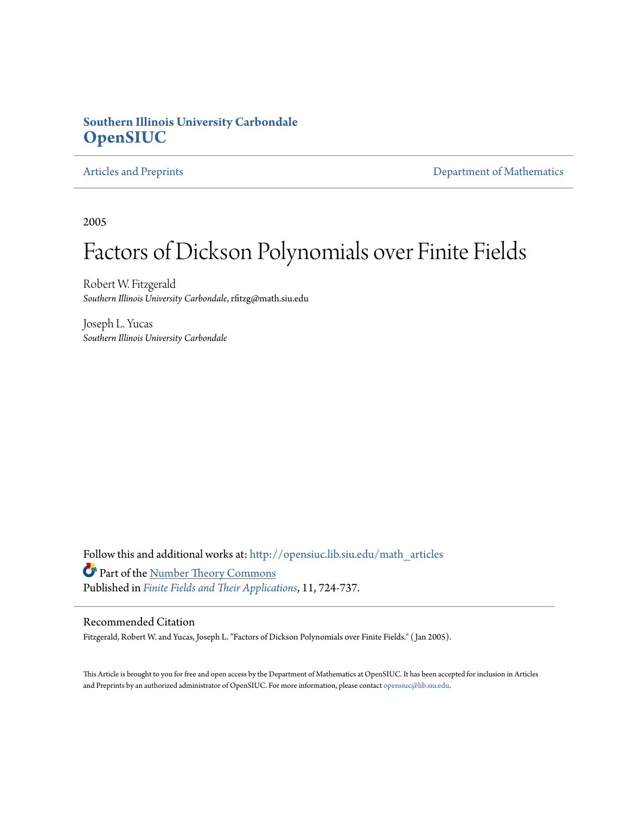### **Southern Illinois University Carbondale [OpenSIUC](http://opensiuc.lib.siu.edu?utm_source=opensiuc.lib.siu.edu%2Fmath_articles%2F23&utm_medium=PDF&utm_campaign=PDFCoverPages)**

[Articles and Preprints](http://opensiuc.lib.siu.edu/math_articles?utm_source=opensiuc.lib.siu.edu%2Fmath_articles%2F23&utm_medium=PDF&utm_campaign=PDFCoverPages) **[Department of Mathematics](http://opensiuc.lib.siu.edu/math?utm_source=opensiuc.lib.siu.edu%2Fmath_articles%2F23&utm_medium=PDF&utm_campaign=PDFCoverPages)** 

2005

# Factors of Dickson Polynomials over Finite Fields

Robert W. Fitzgerald *Southern Illinois University Carbondale*, rfitzg@math.siu.edu

Joseph L. Yucas *Southern Illinois University Carbondale*

Follow this and additional works at: [http://opensiuc.lib.siu.edu/math\\_articles](http://opensiuc.lib.siu.edu/math_articles?utm_source=opensiuc.lib.siu.edu%2Fmath_articles%2F23&utm_medium=PDF&utm_campaign=PDFCoverPages) Part of the [Number Theory Commons](http://network.bepress.com/hgg/discipline/183?utm_source=opensiuc.lib.siu.edu%2Fmath_articles%2F23&utm_medium=PDF&utm_campaign=PDFCoverPages) Published in *[Finite Fields and Their Applications](http://www.elsevier.com/wps/find/journaldescription.cws_home/622831/description#description)*, 11, 724-737.

#### Recommended Citation

Fitzgerald, Robert W. and Yucas, Joseph L. "Factors of Dickson Polynomials over Finite Fields." ( Jan 2005).

This Article is brought to you for free and open access by the Department of Mathematics at OpenSIUC. It has been accepted for inclusion in Articles and Preprints by an authorized administrator of OpenSIUC. For more information, please contact [opensiuc@lib.siu.edu](mailto:opensiuc@lib.siu.edu).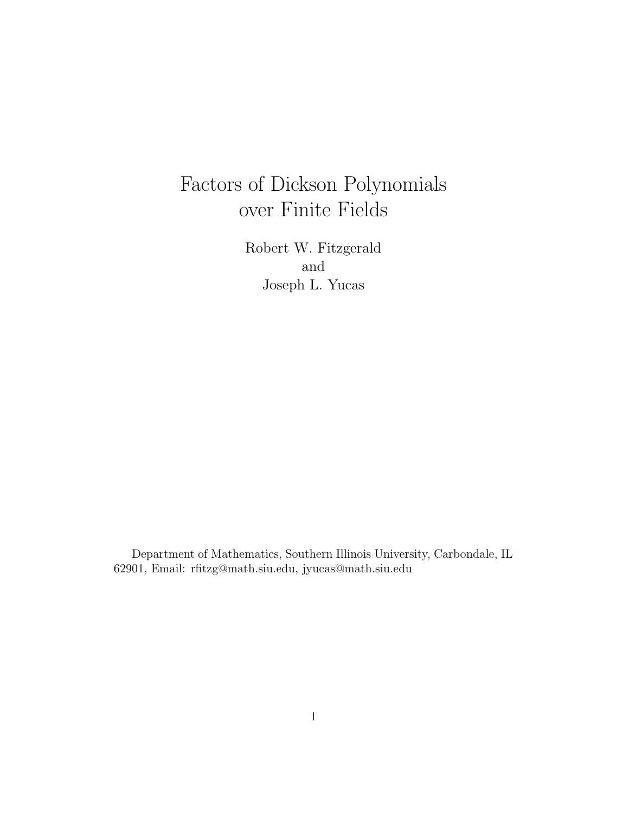# Factors of Dickson Polynomials over Finite Fields

Robert W. Fitzgerald and Joseph L. Yucas

Department of Mathematics, Southern Illinois University, Carbondale, IL 62901, Email: rfitzg@math.siu.edu, jyucas@math.siu.edu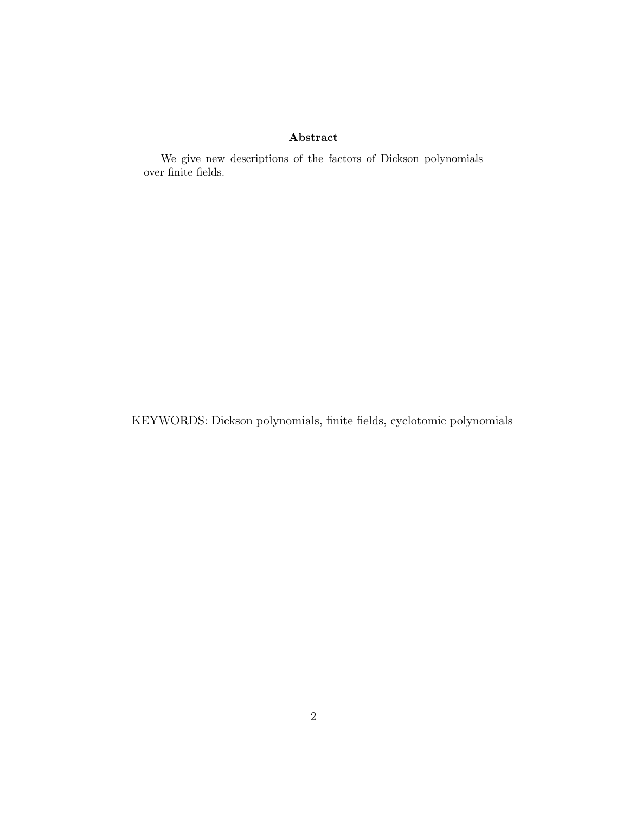#### Abstract

We give new descriptions of the factors of Dickson polynomials over finite fields.

KEYWORDS: Dickson polynomials, finite fields, cyclotomic polynomials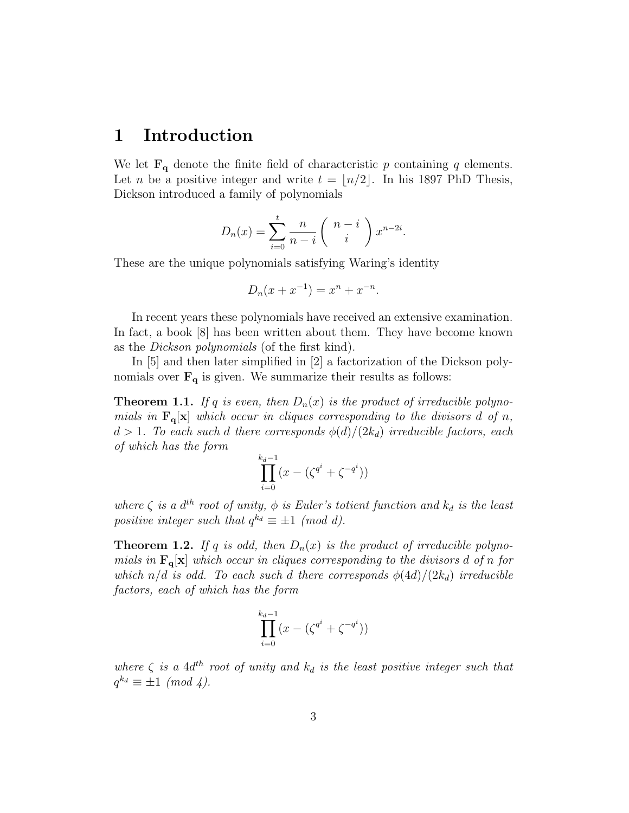## 1 Introduction

We let  $\mathbf{F}_{q}$  denote the finite field of characteristic p containing q elements. Let *n* be a positive integer and write  $t = \lfloor n/2 \rfloor$ . In his 1897 PhD Thesis, Dickson introduced a family of polynomials

$$
D_n(x) = \sum_{i=0}^t \frac{n}{n-i} \left( \begin{array}{c} n-i \\ i \end{array} \right) x^{n-2i}.
$$

These are the unique polynomials satisfying Waring's identity

$$
D_n(x + x^{-1}) = x^n + x^{-n}.
$$

In recent years these polynomials have received an extensive examination. In fact, a book [8] has been written about them. They have become known as the Dickson polynomials (of the first kind).

In [5] and then later simplified in [2] a factorization of the Dickson polynomials over  $\mathbf{F}_{q}$  is given. We summarize their results as follows:

**Theorem 1.1.** If q is even, then  $D_n(x)$  is the product of irreducible polynomials in  $\mathbf{F}_{q}[\mathbf{x}]$  which occur in cliques corresponding to the divisors d of n,  $d > 1$ . To each such d there corresponds  $\phi(d)/(2k_d)$  irreducible factors, each of which has the form

$$
\prod_{i=0}^{k_d-1} (x - (\zeta^{q^i} + \zeta^{-q^i}))
$$

where  $\zeta$  is a  $d^{th}$  root of unity,  $\phi$  is Euler's totient function and  $k_d$  is the least positive integer such that  $q^{k_d} \equiv \pm 1 \pmod{d}$ .

**Theorem 1.2.** If q is odd, then  $D_n(x)$  is the product of irreducible polynomials in  $\mathbf{F}_{q}[\mathbf{x}]$  which occur in cliques corresponding to the divisors d of n for which  $n/d$  is odd. To each such d there corresponds  $\phi(4d)/(2k_d)$  irreducible factors, each of which has the form

$$
\prod_{i=0}^{k_d-1} (x - (\zeta^{q^i} + \zeta^{-q^i}))
$$

where  $\zeta$  is a 4 $d^{th}$  root of unity and  $k_d$  is the least positive integer such that  $q^{k_d} \equiv \pm 1 \pmod{4}$ .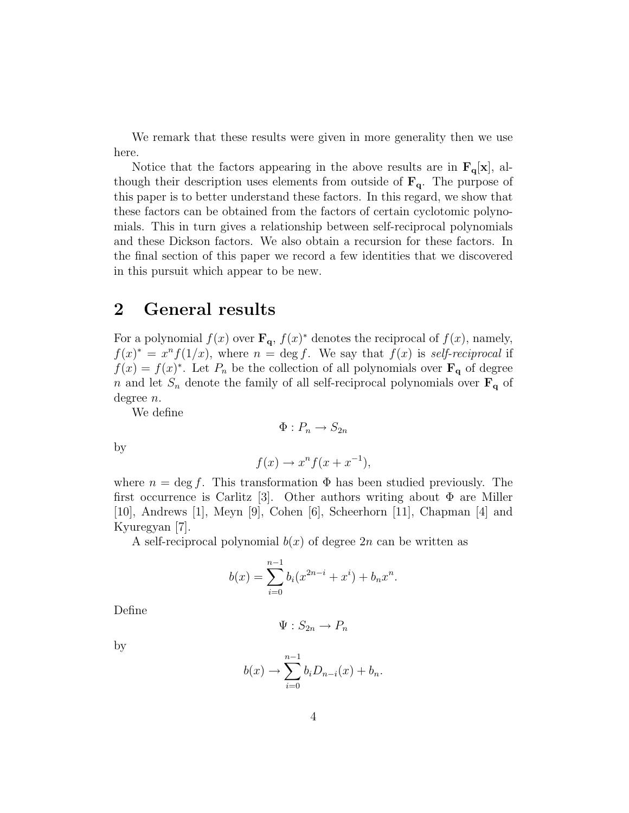We remark that these results were given in more generality then we use here.

Notice that the factors appearing in the above results are in  $\mathbf{F}_{q}[\mathbf{x}]$ , although their description uses elements from outside of  $\mathbf{F}_{q}$ . The purpose of this paper is to better understand these factors. In this regard, we show that these factors can be obtained from the factors of certain cyclotomic polynomials. This in turn gives a relationship between self-reciprocal polynomials and these Dickson factors. We also obtain a recursion for these factors. In the final section of this paper we record a few identities that we discovered in this pursuit which appear to be new.

### 2 General results

For a polynomial  $f(x)$  over  $\mathbf{F}_{q}$ ,  $f(x)^{*}$  denotes the reciprocal of  $f(x)$ , namely,  $f(x)^* = x^n f(1/x)$ , where  $n = \deg f$ . We say that  $f(x)$  is self-reciprocal if  $f(x) = f(x)^*$ . Let  $P_n$  be the collection of all polynomials over  $\mathbf{F}_q$  of degree n and let  $S_n$  denote the family of all self-reciprocal polynomials over  $\mathbf{F}_{q}$  of degree n.

 $\Phi: P_n \to S_{2n}$ 

We define

 $f(x) \rightarrow x^n f(x + x^{-1}),$ 

by

where 
$$
n = \deg f
$$
. This transformation  $\Phi$  has been studied previously. The first occurrence is Carlitz [3]. Other authors writing about  $\Phi$  are Miller [10], Andrews [1], Meyn [9], Cohen [6], Scheerhorn [11], Chapman [4] and Kyuregyan [7].

A self-reciprocal polynomial  $b(x)$  of degree  $2n$  can be written as

$$
b(x) = \sum_{i=0}^{n-1} b_i (x^{2n-i} + x^i) + b_n x^n.
$$

Define

 $\Psi: S_{2n} \to P_n$ 

by

$$
b(x) \to \sum_{i=0}^{n-1} b_i D_{n-i}(x) + b_n.
$$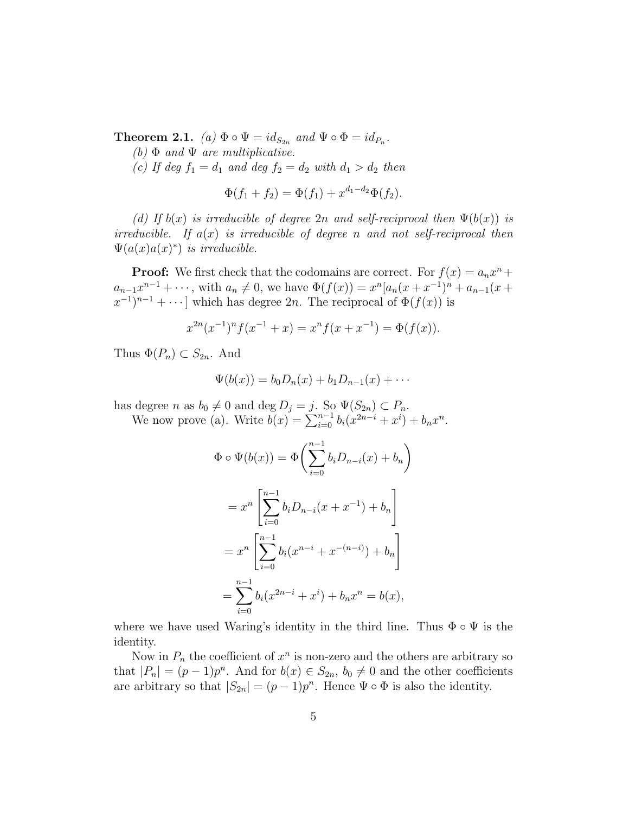**Theorem 2.1.** (a)  $\Phi \circ \Psi = id_{S_{2n}}$  and  $\Psi \circ \Phi = id_{P_n}$ .

(b)  $\Phi$  and  $\Psi$  are multiplicative.

(c) If deg  $f_1 = d_1$  and deg  $f_2 = d_2$  with  $d_1 > d_2$  then

$$
\Phi(f_1 + f_2) = \Phi(f_1) + x^{d_1 - d_2} \Phi(f_2).
$$

(d) If  $b(x)$  is irreducible of degree 2n and self-reciprocal then  $\Psi(b(x))$  is irreducible. If  $a(x)$  is irreducible of degree n and not self-reciprocal then  $\Psi(a(x)a(x)^*)$  is irreducible.

**Proof:** We first check that the codomains are correct. For  $f(x) = a_n x^n +$  $a_{n-1}x^{n-1} + \cdots$ , with  $a_n \neq 0$ , we have  $\Phi(f(x)) = x^n [a_n(x + x^{-1})^n + a_{n-1}(x +$  $(x^{-1})^{n-1} + \cdots$  which has degree 2n. The reciprocal of  $\Phi(f(x))$  is

$$
x^{2n}(x^{-1})^n f(x^{-1} + x) = x^n f(x + x^{-1}) = \Phi(f(x)).
$$

Thus  $\Phi(P_n) \subset S_{2n}$ . And

$$
\Psi(b(x)) = b_0 D_n(x) + b_1 D_{n-1}(x) + \cdots
$$

has degree *n* as  $b_0 \neq 0$  and deg  $D_j = j$ . So  $\Psi(S_{2n}) \subset P_n$ .<br>We now prove (a). Write  $b(x) = \sum_{i=0}^{n-1} b_i(x^{2n-i} + x^i) + b_n x^n$ .

$$
\Phi \circ \Psi(b(x)) = \Phi\left(\sum_{i=0}^{n-1} b_i D_{n-i}(x) + b_n\right)
$$
  
=  $x^n \left[\sum_{i=0}^{n-1} b_i D_{n-i}(x + x^{-1}) + b_n\right]$   
=  $x^n \left[\sum_{i=0}^{n-1} b_i (x^{n-i} + x^{-(n-i)}) + b_n\right]$   
=  $\sum_{i=0}^{n-1} b_i (x^{2n-i} + x^i) + b_n x^n = b(x),$ 

where we have used Waring's identity in the third line. Thus  $\Phi \circ \Psi$  is the identity.

Now in  $P_n$  the coefficient of  $x^n$  is non-zero and the others are arbitrary so that  $|P_n| = (p-1)p^n$ . And for  $b(x) \in S_{2n}$ ,  $b_0 \neq 0$  and the other coefficients are arbitrary so that  $|S_{2n}| = (p-1)p^n$ . Hence  $\Psi \circ \Phi$  is also the identity.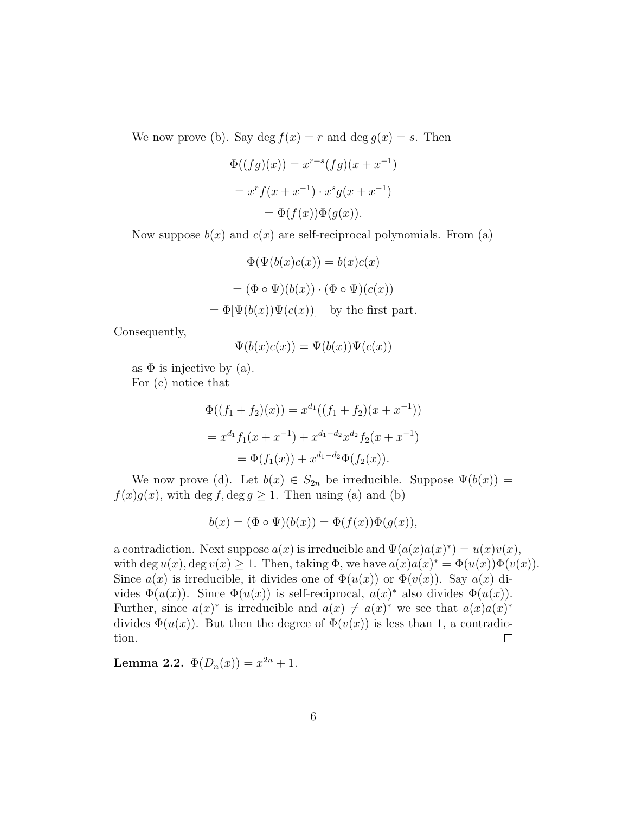We now prove (b). Say deg  $f(x) = r$  and deg  $g(x) = s$ . Then

$$
\Phi((fg)(x)) = x^{r+s}(fg)(x+x^{-1})
$$

$$
= x^r f(x+x^{-1}) \cdot x^s g(x+x^{-1})
$$

$$
= \Phi(f(x))\Phi(g(x)).
$$

Now suppose  $b(x)$  and  $c(x)$  are self-reciprocal polynomials. From (a)

$$
\Phi(\Psi(b(x)c(x)) = b(x)c(x)
$$

$$
= (\Phi \circ \Psi)(b(x)) \cdot (\Phi \circ \Psi)(c(x))
$$

$$
= \Phi[\Psi(b(x))\Psi(c(x))] \text{ by the first part.}
$$

Consequently,

$$
\Psi(b(x)c(x)) = \Psi(b(x))\Psi(c(x))
$$

as  $\Phi$  is injective by (a).

For (c) notice that

$$
\Phi((f_1 + f_2)(x)) = x^{d_1}((f_1 + f_2)(x + x^{-1}))
$$
  
=  $x^{d_1} f_1(x + x^{-1}) + x^{d_1 - d_2} x^{d_2} f_2(x + x^{-1})$   
=  $\Phi(f_1(x)) + x^{d_1 - d_2} \Phi(f_2(x)).$ 

We now prove (d). Let  $b(x) \in S_{2n}$  be irreducible. Suppose  $\Psi(b(x)) =$  $f(x)g(x)$ , with deg f, deg  $g \ge 1$ . Then using (a) and (b)

$$
b(x) = (\Phi \circ \Psi)(b(x)) = \Phi(f(x))\Phi(g(x)),
$$

a contradiction. Next suppose  $a(x)$  is irreducible and  $\Psi(a(x)a(x)^*) = u(x)v(x)$ , with deg  $u(x)$ , deg  $v(x) \geq 1$ . Then, taking  $\Phi$ , we have  $a(x)a(x)^* = \Phi(u(x))\Phi(v(x))$ . Since  $a(x)$  is irreducible, it divides one of  $\Phi(u(x))$  or  $\Phi(v(x))$ . Say  $a(x)$  divides  $\Phi(u(x))$ . Since  $\Phi(u(x))$  is self-reciprocal,  $a(x)^*$  also divides  $\Phi(u(x))$ . Further, since  $a(x)^*$  is irreducible and  $a(x) \neq a(x)^*$  we see that  $a(x)a(x)^*$ divides  $\Phi(u(x))$ . But then the degree of  $\Phi(v(x))$  is less than 1, a contradiction.  $\Box$ 

Lemma 2.2.  $\Phi(D_n(x)) = x^{2n} + 1$ .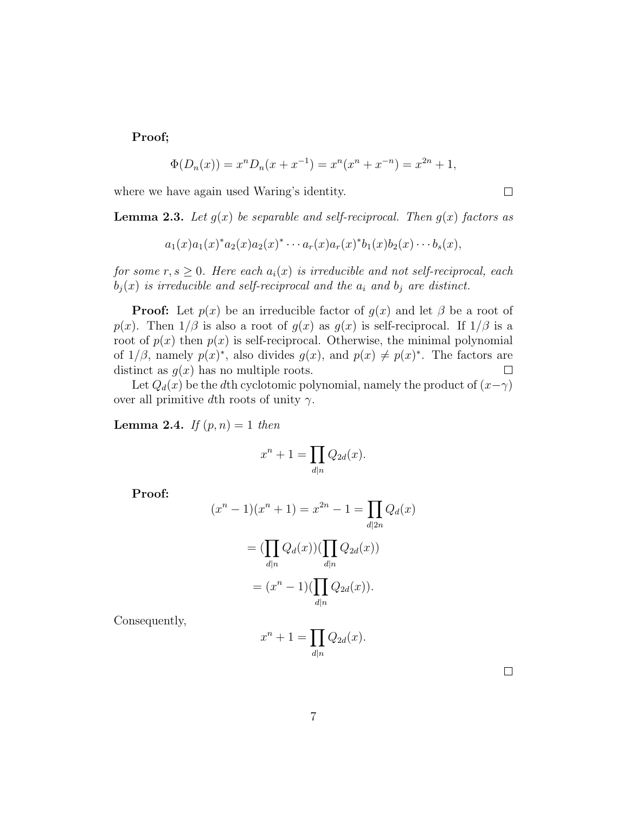Proof;

$$
\Phi(D_n(x)) = x^n D_n(x + x^{-1}) = x^n (x^n + x^{-n}) = x^{2n} + 1,
$$

where we have again used Waring's identity.

**Lemma 2.3.** Let  $g(x)$  be separable and self-reciprocal. Then  $g(x)$  factors as

$$
a_1(x)a_1(x)^*a_2(x)a_2(x)^*\cdots a_r(x)a_r(x)^*b_1(x)b_2(x)\cdots b_s(x),
$$

for some  $r, s \geq 0$ . Here each  $a_i(x)$  is irreducible and not self-reciprocal, each  $b_j(x)$  is irreducible and self-reciprocal and the  $a_i$  and  $b_j$  are distinct.

**Proof:** Let  $p(x)$  be an irreducible factor of  $g(x)$  and let  $\beta$  be a root of p(x). Then  $1/\beta$  is also a root of  $g(x)$  as  $g(x)$  is self-reciprocal. If  $1/\beta$  is a root of  $p(x)$  then  $p(x)$  is self-reciprocal. Otherwise, the minimal polynomial of  $1/\beta$ , namely  $p(x)^*$ , also divides  $g(x)$ , and  $p(x) \neq p(x)^*$ . The factors are distinct as  $g(x)$  has no multiple roots.  $\Box$ 

Let  $Q_d(x)$  be the dth cyclotomic polynomial, namely the product of  $(x-\gamma)$ over all primitive dth roots of unity  $\gamma$ .

**Lemma 2.4.** If  $(p, n) = 1$  then

$$
x^n + 1 = \prod_{d|n} Q_{2d}(x).
$$

Proof:

$$
(x^{n} - 1)(x^{n} + 1) = x^{2n} - 1 = \prod_{d|2n} Q_d(x)
$$

$$
= (\prod_{d|n} Q_d(x)) (\prod_{d|n} Q_{2d}(x))
$$

$$
= (x^{n} - 1)(\prod_{d|n} Q_{2d}(x)).
$$

Consequently,

$$
x^n + 1 = \prod_{d|n} Q_{2d}(x).
$$

 $\Box$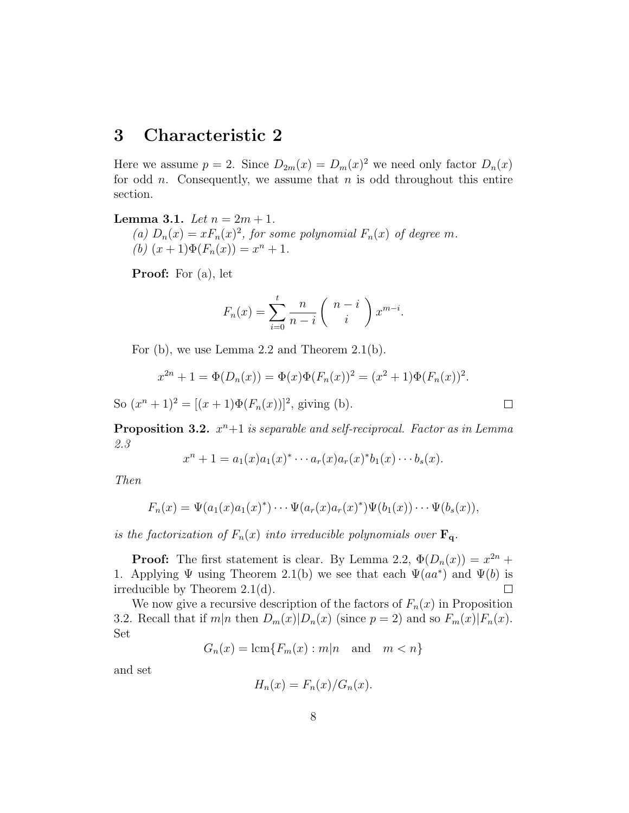## 3 Characteristic 2

Here we assume  $p = 2$ . Since  $D_{2m}(x) = D_m(x)^2$  we need only factor  $D_n(x)$ for odd *n*. Consequently, we assume that *n* is odd throughout this entire section.

**Lemma 3.1.** Let  $n = 2m + 1$ . (a)  $D_n(x) = x F_n(x)^2$ , for some polynomial  $F_n(x)$  of degree m. (b)  $(x+1)\Phi(F_n(x)) = x^n + 1$ .

Proof: For (a), let

$$
F_n(x) = \sum_{i=0}^t \frac{n}{n-i} \left( \begin{array}{c} n-i \\ i \end{array} \right) x^{m-i}.
$$

For (b), we use Lemma 2.2 and Theorem 2.1(b).

$$
x^{2n} + 1 = \Phi(D_n(x)) = \Phi(x)\Phi(F_n(x))^2 = (x^2 + 1)\Phi(F_n(x))^2.
$$

So  $(x^{n} + 1)^{2} = [(x+1)\Phi(F_{n}(x))]^{2}$ , giving (b).

**Proposition 3.2.**  $x^n + 1$  is separable and self-reciprocal. Factor as in Lemma 2.3

$$
x^{n} + 1 = a_1(x)a_1(x)^{*} \cdots a_r(x)a_r(x)^{*}b_1(x)\cdots b_s(x).
$$

Then

$$
F_n(x) = \Psi(a_1(x)a_1(x)^*) \cdots \Psi(a_r(x)a_r(x)^*) \Psi(b_1(x)) \cdots \Psi(b_s(x)),
$$

is the factorization of  $F_n(x)$  into irreducible polynomials over  $\mathbf{F}_q$ .

**Proof:** The first statement is clear. By Lemma 2.2,  $\Phi(D_n(x)) = x^{2n} +$ 1. Applying  $\Psi$  using Theorem 2.1(b) we see that each  $\Psi(aa^*)$  and  $\Psi(b)$  is irreducible by Theorem 2.1(d).  $\Box$ 

We now give a recursive description of the factors of  $F_n(x)$  in Proposition 3.2. Recall that if  $m|n$  then  $D_m(x)|D_n(x)$  (since  $p = 2$ ) and so  $F_m(x)|F_n(x)$ . Set

 $G_n(x) = \text{lcm}\{F_m(x) : m|n \text{ and } m < n\}$ 

and set

$$
H_n(x) = F_n(x) / G_n(x).
$$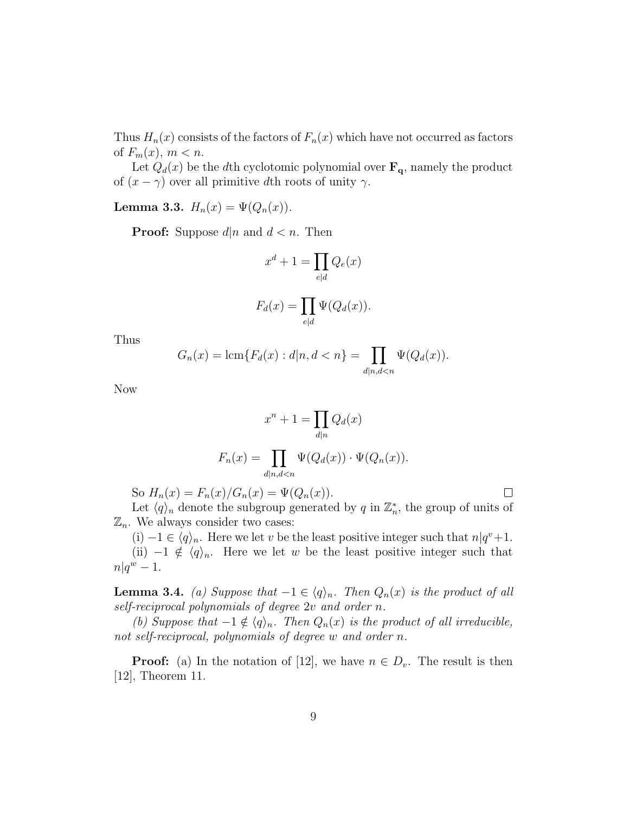Thus  $H_n(x)$  consists of the factors of  $F_n(x)$  which have not occurred as factors of  $F_m(x)$ ,  $m < n$ .

Let  $Q_d(x)$  be the dth cyclotomic polynomial over  $\mathbf{F}_q$ , namely the product of  $(x - \gamma)$  over all primitive dth roots of unity  $\gamma$ .

Lemma 3.3.  $H_n(x) = \Psi(Q_n(x)).$ 

**Proof:** Suppose  $d|n$  and  $d < n$ . Then

$$
x^{d} + 1 = \prod_{e|d} Q_e(x)
$$

$$
F_d(x) = \prod_{e|d} \Psi(Q_d(x)).
$$

Thus

$$
G_n(x) = \text{lcm}\{F_d(x) : d|n, d < n\} = \prod_{d|n, d < n} \Psi(Q_d(x)).
$$

Now

$$
x^{n} + 1 = \prod_{d|n} Q_{d}(x)
$$

$$
F_{n}(x) = \prod_{d|n,d
$$

So  $H_n(x) = F_n(x)/G_n(x) = \Psi(Q_n(x)).$ 

Let  $\langle q \rangle_n$  denote the subgroup generated by q in  $\mathbb{Z}_n^*$ , the group of units of  $\mathbb{Z}_n$ . We always consider two cases:

 $\Box$ 

(i)  $-1 \in \langle q \rangle_n$ . Here we let v be the least positive integer such that  $n|q^v+1$ . (ii)  $-1 \notin \langle q \rangle_n$ . Here we let w be the least positive integer such that  $n|q^w-1$ .

**Lemma 3.4.** (a) Suppose that  $-1 \in \langle q \rangle_n$ . Then  $Q_n(x)$  is the product of all self-reciprocal polynomials of degree 2v and order n.

(b) Suppose that  $-1 \notin \langle q \rangle_n$ . Then  $Q_n(x)$  is the product of all irreducible, not self-reciprocal, polynomials of degree w and order n.

**Proof:** (a) In the notation of [12], we have  $n \in D_v$ . The result is then [12], Theorem 11.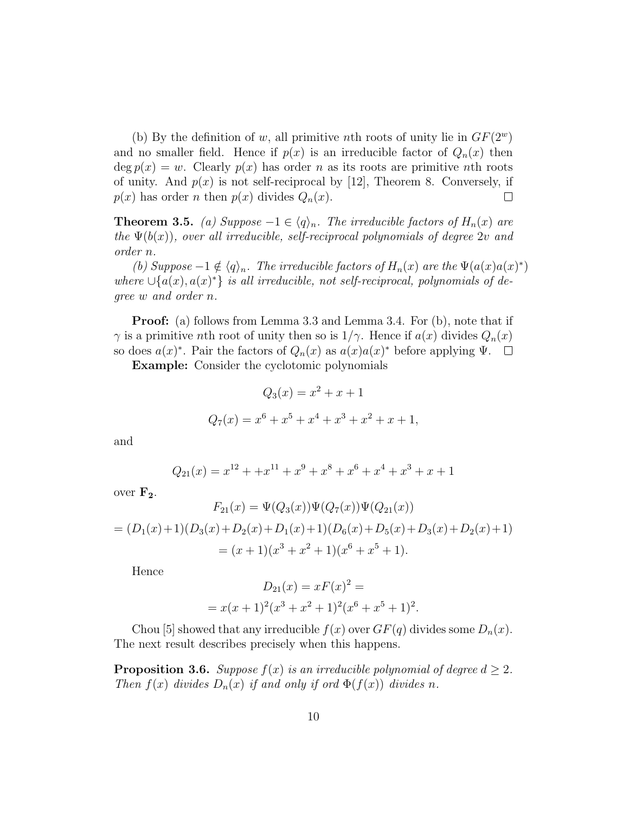(b) By the definition of w, all primitive nth roots of unity lie in  $GF(2^w)$ and no smaller field. Hence if  $p(x)$  is an irreducible factor of  $Q_n(x)$  then deg  $p(x) = w$ . Clearly  $p(x)$  has order n as its roots are primitive nth roots of unity. And  $p(x)$  is not self-reciprocal by [12], Theorem 8. Conversely, if  $p(x)$  has order n then  $p(x)$  divides  $Q_n(x)$ .  $\Box$ 

**Theorem 3.5.** (a) Suppose  $-1 \in \langle q \rangle_n$ . The irreducible factors of  $H_n(x)$  are the  $\Psi(b(x))$ , over all irreducible, self-reciprocal polynomials of degree 2v and order n.

(b) Suppose  $-1 \notin \langle q \rangle_n$ . The irreducible factors of  $H_n(x)$  are the  $\Psi(a(x)a(x)^*)$ where  $\bigcup \{a(x), a(x)^*\}$  is all irreducible, not self-reciprocal, polynomials of degree w and order n.

**Proof:** (a) follows from Lemma 3.3 and Lemma 3.4. For (b), note that if  $\gamma$  is a primitive nth root of unity then so is  $1/\gamma$ . Hence if  $a(x)$  divides  $Q_n(x)$ so does  $a(x)^*$ . Pair the factors of  $Q_n(x)$  as  $a(x)a(x)^*$  before applying  $\Psi$ .

Example: Consider the cyclotomic polynomials

$$
Q_3(x) = x^2 + x + 1
$$
  

$$
Q_7(x) = x^6 + x^5 + x^4 + x^3 + x^2 + x + 1,
$$

and

$$
Q_{21}(x) = x^{12} + x^{11} + x^9 + x^8 + x^6 + x^4 + x^3 + x + 1
$$

over  $\mathbf{F_2}$ .

$$
F_{21}(x) = \Psi(Q_3(x))\Psi(Q_7(x))\Psi(Q_{21}(x))
$$
  
=  $(D_1(x)+1)(D_3(x)+D_2(x)+D_1(x)+1)(D_6(x)+D_5(x)+D_3(x)+D_2(x)+1)$   
=  $(x+1)(x^3+x^2+1)(x^6+x^5+1)$ .

Hence

$$
D_{21}(x) = xF(x)^{2} =
$$
  
=  $x(x + 1)^{2}(x^{3} + x^{2} + 1)^{2}(x^{6} + x^{5} + 1)^{2}$ .

Chou [5] showed that any irreducible  $f(x)$  over  $GF(q)$  divides some  $D_n(x)$ . The next result describes precisely when this happens.

**Proposition 3.6.** Suppose  $f(x)$  is an irreducible polynomial of degree  $d \geq 2$ . Then  $f(x)$  divides  $D_n(x)$  if and only if ord  $\Phi(f(x))$  divides n.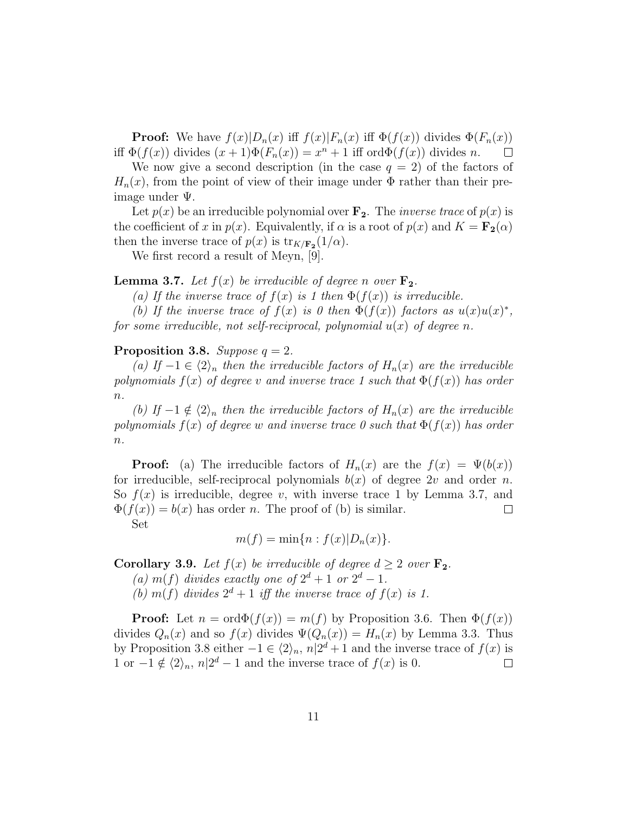**Proof:** We have  $f(x)|D_n(x)$  iff  $f(x)|F_n(x)$  iff  $\Phi(f(x))$  divides  $\Phi(F_n(x))$ iff  $\Phi(f(x))$  divides  $(x+1)\Phi(F_n(x)) = x^n + 1$  iff ord $\Phi(f(x))$  divides n.  $\Box$ 

We now give a second description (in the case  $q = 2$ ) of the factors of  $H_n(x)$ , from the point of view of their image under  $\Phi$  rather than their preimage under Ψ.

Let  $p(x)$  be an irreducible polynomial over  $\mathbf{F}_2$ . The *inverse trace* of  $p(x)$  is the coefficient of x in  $p(x)$ . Equivalently, if  $\alpha$  is a root of  $p(x)$  and  $K = \mathbf{F_2}(\alpha)$ then the inverse trace of  $p(x)$  is  $\text{tr}_{K/\mathbf{F_2}}(1/\alpha)$ .

We first record a result of Meyn, [9].

#### **Lemma 3.7.** Let  $f(x)$  be irreducible of degree n over  $\mathbf{F_2}$ .

(a) If the inverse trace of  $f(x)$  is 1 then  $\Phi(f(x))$  is irreducible.

(b) If the inverse trace of  $f(x)$  is 0 then  $\Phi(f(x))$  factors as  $u(x)u(x)^*$ , for some irreducible, not self-reciprocal, polynomial  $u(x)$  of degree n.

#### Proposition 3.8. Suppose  $q = 2$ .

(a) If  $-1 \in \langle 2 \rangle_n$  then the irreducible factors of  $H_n(x)$  are the irreducible polynomials  $f(x)$  of degree v and inverse trace 1 such that  $\Phi(f(x))$  has order  $\overline{n}$ .

(b) If  $-1 \notin \langle 2 \rangle_n$  then the irreducible factors of  $H_n(x)$  are the irreducible polynomials  $f(x)$  of degree w and inverse trace 0 such that  $\Phi(f(x))$  has order  $n$ .

**Proof:** (a) The irreducible factors of  $H_n(x)$  are the  $f(x) = \Psi(b(x))$ for irreducible, self-reciprocal polynomials  $b(x)$  of degree 2v and order n. So  $f(x)$  is irreducible, degree v, with inverse trace 1 by Lemma 3.7, and  $\Phi(f(x)) = b(x)$  has order n. The proof of (b) is similar.  $\Box$ Set

$$
m(f) = \min\{n : f(x)|D_n(x)\}.
$$

**Corollary 3.9.** Let  $f(x)$  be irreducible of degree  $d \geq 2$  over  $\mathbf{F}_2$ .

- (a)  $m(f)$  divides exactly one of  $2^d + 1$  or  $2^d 1$ .
- (b)  $m(f)$  divides  $2^d + 1$  iff the inverse trace of  $f(x)$  is 1.

**Proof:** Let  $n = \text{ord}\Phi(f(x)) = m(f)$  by Proposition 3.6. Then  $\Phi(f(x))$ divides  $Q_n(x)$  and so  $f(x)$  divides  $\Psi(Q_n(x)) = H_n(x)$  by Lemma 3.3. Thus by Proposition 3.8 either  $-1 \in \langle 2 \rangle_n$ ,  $n|2^d + 1$  and the inverse trace of  $f(x)$  is 1 or  $-1 \notin \langle 2 \rangle_n$ ,  $n|2^d - 1$  and the inverse trace of  $f(x)$  is 0.  $\Box$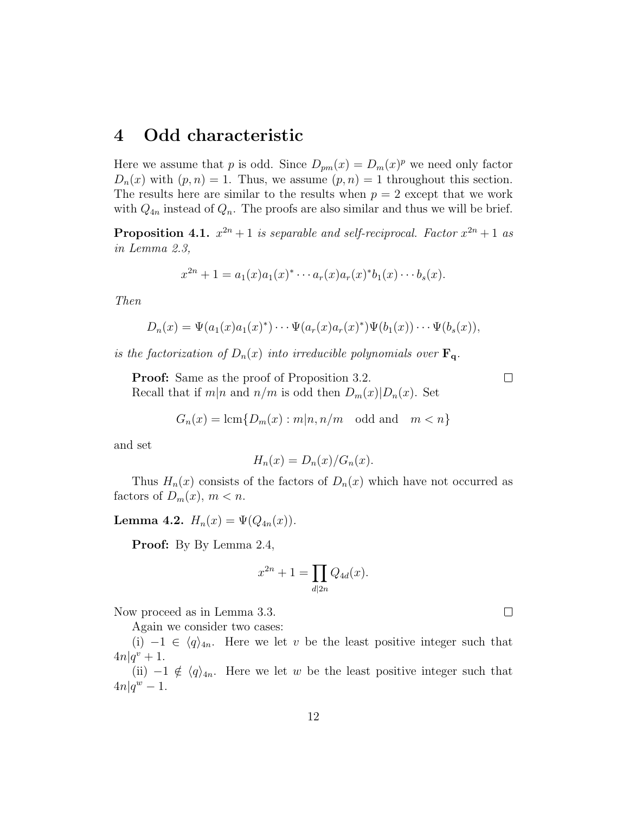### 4 Odd characteristic

Here we assume that p is odd. Since  $D_{pm}(x) = D_m(x)^p$  we need only factor  $D_n(x)$  with  $(p, n) = 1$ . Thus, we assume  $(p, n) = 1$  throughout this section. The results here are similar to the results when  $p = 2$  except that we work with  $Q_{4n}$  instead of  $Q_n$ . The proofs are also similar and thus we will be brief.

**Proposition 4.1.**  $x^{2n} + 1$  is separable and self-reciprocal. Factor  $x^{2n} + 1$  as in Lemma 2.3,

$$
x^{2n} + 1 = a_1(x)a_1(x)^* \cdots a_r(x)a_r(x)^* b_1(x) \cdots b_s(x).
$$

Then

$$
D_n(x) = \Psi(a_1(x)a_1(x)^*) \cdots \Psi(a_r(x)a_r(x)^*) \Psi(b_1(x)) \cdots \Psi(b_s(x)),
$$

is the factorization of  $D_n(x)$  into irreducible polynomials over  $\mathbf{F}_q$ .

**Proof:** Same as the proof of Proposition 3.2. Recall that if  $m|n$  and  $n/m$  is odd then  $D_m(x)|D_n(x)$ . Set  $\Box$ 

$$
G_n(x) = \operatorname{lcm}\{D_m(x) : m|n, n/m \text{ odd and } m < n\}
$$

and set

$$
H_n(x) = D_n(x)/G_n(x).
$$

Thus  $H_n(x)$  consists of the factors of  $D_n(x)$  which have not occurred as factors of  $D_m(x)$ ,  $m < n$ .

Lemma 4.2.  $H_n(x) = \Psi(Q_{4n}(x)).$ 

Proof: By By Lemma 2.4,

$$
x^{2n} + 1 = \prod_{d|2n} Q_{4d}(x).
$$

Now proceed as in Lemma 3.3.

Again we consider two cases:

(i)  $-1 \in \langle q \rangle_{4n}$ . Here we let v be the least positive integer such that  $4n|q^v + 1.$ 

(ii)  $-1 \notin \langle q \rangle_{4n}$ . Here we let w be the least positive integer such that  $4n|q^w-1$ .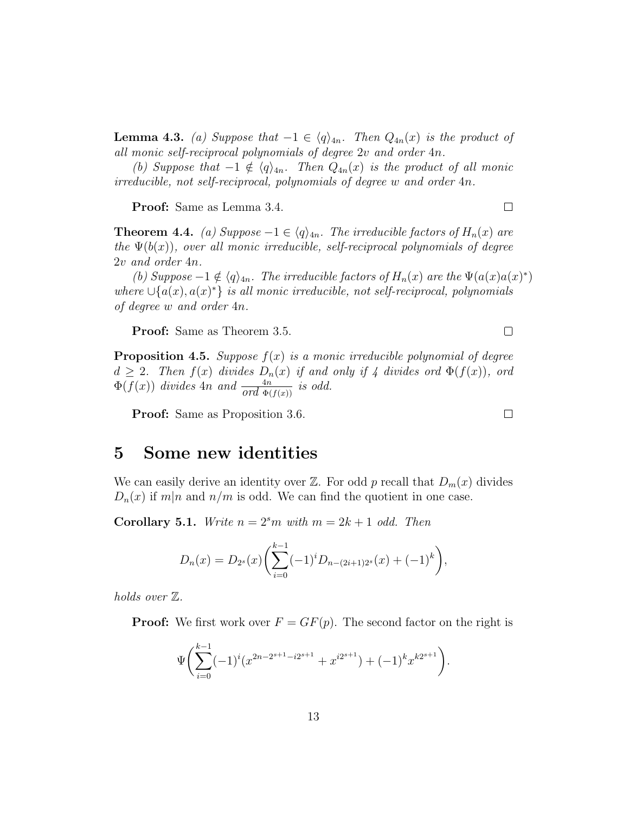**Lemma 4.3.** (a) Suppose that  $-1 \in \langle q \rangle_{4n}$ . Then  $Q_{4n}(x)$  is the product of all monic self-reciprocal polynomials of degree 2v and order 4n.

(b) Suppose that  $-1 \notin \langle q \rangle_{4n}$ . Then  $Q_{4n}(x)$  is the product of all monic irreducible, not self-reciprocal, polynomials of degree w and order 4n.

Proof: Same as Lemma 3.4.

**Theorem 4.4.** (a) Suppose  $-1 \in \langle q \rangle_{4n}$ . The irreducible factors of  $H_n(x)$  are the  $\Psi(b(x))$ , over all monic irreducible, self-reciprocal polynomials of degree 2v and order 4n.

(b) Suppose  $-1 \notin \langle q \rangle_{4n}$ . The irreducible factors of  $H_n(x)$  are the  $\Psi(a(x)a(x)^*)$ where  $\cup \{a(x), a(x)^*\}$  is all monic irreducible, not self-reciprocal, polynomials of degree w and order 4n.

Proof: Same as Theorem 3.5.

**Proposition 4.5.** Suppose  $f(x)$  is a monic irreducible polynomial of degree  $d \geq 2$ . Then  $f(x)$  divides  $D_n(x)$  if and only if 4 divides ord  $\Phi(f(x))$ , ord  $\Phi(f(x))$  divides  $4n$  and  $\frac{4n}{ord \Phi(f(x))}$  is odd.

Proof: Same as Proposition 3.6.

# 5 Some new identities

We can easily derive an identity over  $\mathbb{Z}$ . For odd p recall that  $D_m(x)$  divides  $D_n(x)$  if  $m|n$  and  $n/m$  is odd. We can find the quotient in one case.

**Corollary 5.1.** Write  $n = 2<sup>s</sup>m$  with  $m = 2k + 1$  odd. Then

$$
D_n(x) = D_{2^s}(x) \left( \sum_{i=0}^{k-1} (-1)^i D_{n-(2i+1)2^s}(x) + (-1)^k \right),
$$

holds over Z.

**Proof:** We first work over  $F = GF(p)$ . The second factor on the right is

$$
\Psi\bigg(\sum_{i=0}^{k-1}(-1)^i(x^{2n-2^{s+1}-i2^{s+1}}+x^{i2^{s+1}})+(-1)^k x^{k2^{s+1}}\bigg).
$$

 $\Box$ 

 $\Box$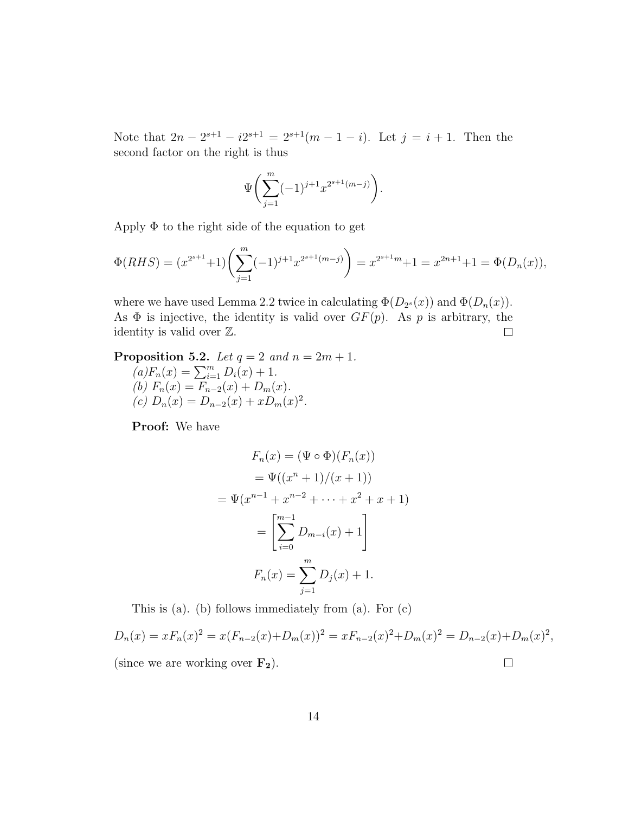Note that  $2n - 2^{s+1} - i2^{s+1} = 2^{s+1}(m - 1 - i)$ . Let  $j = i + 1$ . Then the second factor on the right is thus

$$
\Psi\biggl(\sum_{j=1}^m(-1)^{j+1}x^{2^{s+1}(m-j)}\biggr).
$$

Apply  $\Phi$  to the right side of the equation to get

$$
\Phi(RHS) = (x^{2^{s+1}} + 1) \left( \sum_{j=1}^{m} (-1)^{j+1} x^{2^{s+1}(m-j)} \right) = x^{2^{s+1}m} + 1 = x^{2n+1} + 1 = \Phi(D_n(x)),
$$

where we have used Lemma 2.2 twice in calculating  $\Phi(D_{2^s}(x))$  and  $\Phi(D_n(x))$ . As  $\Phi$  is injective, the identity is valid over  $GF(p)$ . As p is arbitrary, the identity is valid over Z.  $\Box$ 

**Proposition 5.2.** Let  $q = 2$  and  $n = 2m + 1$ . **opposition** 3.2. Let  $q = 2$  and  $aF_n(x) = \sum_{i=1}^m D_i(x) + 1$ . (b)  $F_n(x) = F_{n-2}(x) + D_m(x)$ . (c)  $D_n(x) = D_{n-2}(x) + xD_m(x)^2$ .

Proof: We have

$$
F_n(x) = (\Psi \circ \Phi)(F_n(x))
$$
  
=  $\Psi((x^n + 1)/(x + 1))$   
=  $\Psi(x^{n-1} + x^{n-2} + \dots + x^2 + x + 1)$   
=  $\left[\sum_{i=0}^{m-1} D_{m-i}(x) + 1\right]$   
 $F_n(x) = \sum_{j=1}^m D_j(x) + 1.$ 

This is (a). (b) follows immediately from (a). For (c)

$$
D_n(x) = xF_n(x)^2 = x(F_{n-2}(x) + D_m(x))^2 = xF_{n-2}(x)^2 + D_m(x)^2 = D_{n-2}(x) + D_m(x)^2,
$$
  
(since we are working over **F**<sub>2</sub>).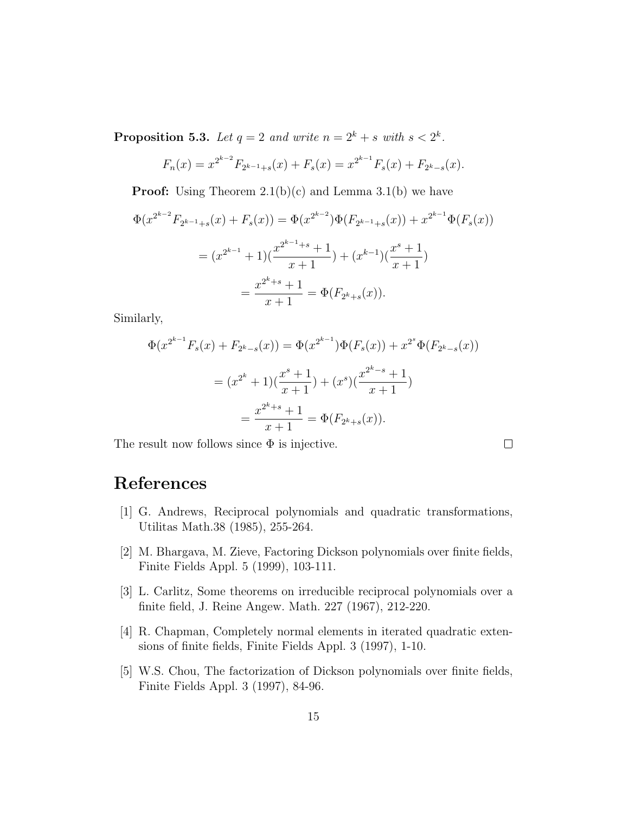**Proposition 5.3.** Let  $q = 2$  and write  $n = 2^k + s$  with  $s < 2^k$ .

$$
F_n(x) = x^{2^{k-2}} F_{2^{k-1}+s}(x) + F_s(x) = x^{2^{k-1}} F_s(x) + F_{2^k-s}(x).
$$

**Proof:** Using Theorem  $2.1(b)(c)$  and Lemma  $3.1(b)$  we have

$$
\Phi(x^{2^{k-2}}F_{2^{k-1}+s}(x) + F_s(x)) = \Phi(x^{2^{k-2}})\Phi(F_{2^{k-1}+s}(x)) + x^{2^{k-1}}\Phi(F_s(x))
$$

$$
= (x^{2^{k-1}}+1)\left(\frac{x^{2^{k-1}+s}+1}{x+1}\right) + (x^{k-1})\left(\frac{x^{s}+1}{x+1}\right)
$$

$$
= \frac{x^{2^{k}+s}+1}{x+1} = \Phi(F_{2^{k}+s}(x)).
$$

Similarly,

$$
\Phi(x^{2^{k-1}}F_s(x) + F_{2^k-s}(x)) = \Phi(x^{2^{k-1}})\Phi(F_s(x)) + x^{2^s}\Phi(F_{2^k-s}(x))
$$

$$
= (x^{2^k} + 1)\left(\frac{x^s + 1}{x + 1}\right) + (x^s)\left(\frac{x^{2^k - s} + 1}{x + 1}\right)
$$

$$
= \frac{x^{2^k + s} + 1}{x + 1} = \Phi(F_{2^k + s}(x)).
$$

The result now follows since  $\Phi$  is injective.

 $\Box$ 

# References

- [1] G. Andrews, Reciprocal polynomials and quadratic transformations, Utilitas Math.38 (1985), 255-264.
- [2] M. Bhargava, M. Zieve, Factoring Dickson polynomials over finite fields, Finite Fields Appl. 5 (1999), 103-111.
- [3] L. Carlitz, Some theorems on irreducible reciprocal polynomials over a finite field, J. Reine Angew. Math. 227 (1967), 212-220.
- [4] R. Chapman, Completely normal elements in iterated quadratic extensions of finite fields, Finite Fields Appl. 3 (1997), 1-10.
- [5] W.S. Chou, The factorization of Dickson polynomials over finite fields, Finite Fields Appl. 3 (1997), 84-96.